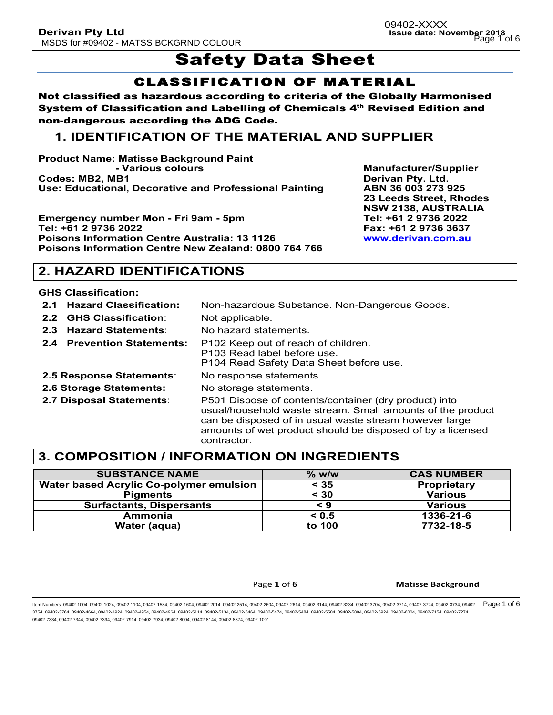# Safety Data Sheet

## CLASSIFICATION OF MATERIAL

Not classified as hazardous according to criteria of the Globally Harmonised System of Classification and Labelling of Chemicals 4<sup>th</sup> Revised Edition and non-dangerous according the ADG Code.

### **1. IDENTIFICATION OF THE MATERIAL AND SUPPLIER**

**Product Name: Matisse Background Paint - Various colours Manufacturer/Supplier Codes: MB2, MB1 Derivan Pty. Ltd. Use: Educational, Decorative and Professional Painting ABN 36 003 273 925**

**Emergency number Mon - Fri 9am - 5pm Tel: +61 2 9736 2022 Tel: +61 2 9736 2022 Fax: +61 2 9736 3637 Poisons Information Centre Australia: 13 1126 www.derivan.com.au Poisons Information Centre New Zealand: 0800 764 766**

**23 Leeds Street, Rhodes NSW 2138, AUSTRALIA**

### **2. HAZARD IDENTIFICATIONS**

#### **GHS Classification:**

- **2.1 Hazard Classification:** Non-hazardous Substance. Non-Dangerous Goods. **2.2 GHS Classification**: Not applicable.
- **2.3 Hazard Statements**: No hazard statements.
- **2.4 Prevention Statements:** P102 Keep out of reach of children.
	- P103 Read label before use.
		- P104 Read Safety Data Sheet before use.
- **2.5 Response Statements**: No response statements.
- **2.6 Storage Statements:** No storage statements.
- 
- 

**2.7 Disposal Statements**: P501 Dispose of contents/container (dry product) into usual/household waste stream. Small amounts of the product can be disposed of in usual waste stream however large amounts of wet product should be disposed of by a licensed contractor.

### **3. COMPOSITION / INFORMATION ON INGREDIENTS**

| <b>SUBSTANCE NAME</b>                   | $\%$ w/w | <b>CAS NUMBER</b>  |
|-----------------------------------------|----------|--------------------|
| Water based Acrylic Co-polymer emulsion | < 35     | <b>Proprietary</b> |
| <b>Pigments</b>                         | $<$ 30   | <b>Various</b>     |
| <b>Surfactants, Dispersants</b>         | < 9      | <b>Various</b>     |
| Ammonia                                 | < 0.5    | 1336-21-6          |
| Water (aqua)                            | to 100   | 7732-18-5          |

Page 1 of 6 **Matisse Background**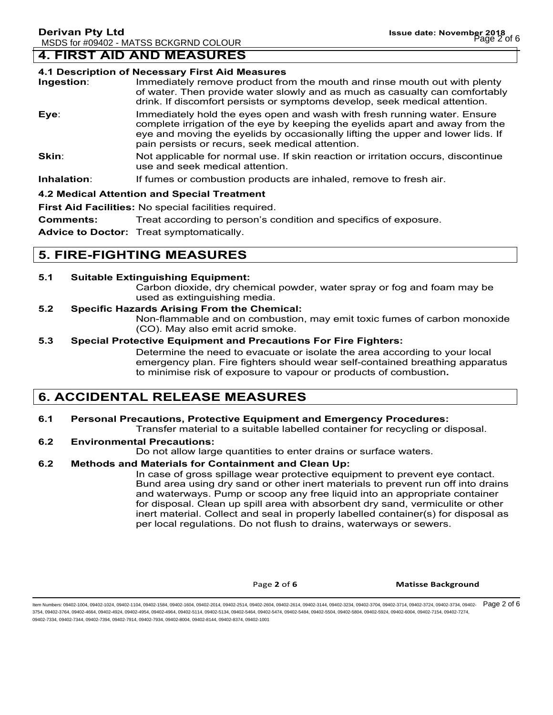### **4. FIRST AID AND MEASURES**

#### **4.1 Description of Necessary First Aid Measures**

| Ingestion: | Immediately remove product from the mouth and rinse mouth out with plenty<br>of water. Then provide water slowly and as much as casualty can comfortably<br>drink. If discomfort persists or symptoms develop, seek medical attention.                                                           |
|------------|--------------------------------------------------------------------------------------------------------------------------------------------------------------------------------------------------------------------------------------------------------------------------------------------------|
| Eye:       | Immediately hold the eyes open and wash with fresh running water. Ensure<br>complete irrigation of the eye by keeping the eyelids apart and away from the<br>eye and moving the eyelids by occasionally lifting the upper and lower lids. If<br>pain persists or recurs, seek medical attention. |
| Skin:      | Not applicable for normal use. If skin reaction or irritation occurs, discontinue<br>use and seek medical attention.                                                                                                                                                                             |

**Inhalation:** If fumes or combustion products are inhaled, remove to fresh air.

#### **4.2 Medical Attention and Special Treatment**

**First Aid Facilities:** No special facilities required.

**Comments:** Treat according to person's condition and specifics of exposure.

**Advice to Doctor:** Treat symptomatically.

### **5. FIRE-FIGHTING MEASURES**

#### **5.1 Suitable Extinguishing Equipment:**

Carbon dioxide, dry chemical powder, water spray or fog and foam may be used as extinguishing media.

#### **5.2 Specific Hazards Arising From the Chemical:**

Non-flammable and on combustion, may emit toxic fumes of carbon monoxide (CO). May also emit acrid smoke.

#### **5.3 Special Protective Equipment and Precautions For Fire Fighters:**

Determine the need to evacuate or isolate the area according to your local emergency plan. Fire fighters should wear self-contained breathing apparatus to minimise risk of exposure to vapour or products of combustion**.**

### **6. ACCIDENTAL RELEASE MEASURES**

### **6.1 Personal Precautions, Protective Equipment and Emergency Procedures:**

Transfer material to a suitable labelled container for recycling or disposal.

### **6.2 Environmental Precautions:**

Do not allow large quantities to enter drains or surface waters.

#### **6.2 Methods and Materials for Containment and Clean Up:**

In case of gross spillage wear protective equipment to prevent eye contact. Bund area using dry sand or other inert materials to prevent run off into drains and waterways. Pump or scoop any free liquid into an appropriate container for disposal. Clean up spill area with absorbent dry sand, vermiculite or other inert material. Collect and seal in properly labelled container(s) for disposal as per local regulations. Do not flush to drains, waterways or sewers.

Page **2** of **6 Matisse Background**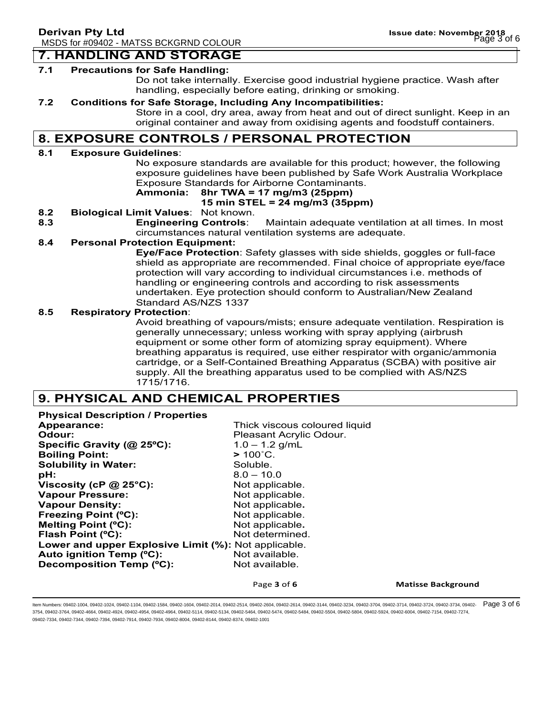#### **7. HANDLING AND STORAGE**

#### **7.1 Precautions for Safe Handling:**

Do not take internally. Exercise good industrial hygiene practice. Wash after handling, especially before eating, drinking or smoking.

#### **7.2 Conditions for Safe Storage, Including Any Incompatibilities:**

Store in a cool, dry area, away from heat and out of direct sunlight. Keep in an original container and away from oxidising agents and foodstuff containers.

### **8. EXPOSURE CONTROLS / PERSONAL PROTECTION**

#### **8.1 Exposure Guidelines**:

No exposure standards are available for this product; however, the following exposure guidelines have been published by Safe Work Australia Workplace Exposure Standards for Airborne Contaminants.

### **Ammonia: 8hr TWA = 17 mg/m3 (25ppm)**

#### **15 min STEL = 24 mg/m3 (35ppm)**

- **8.2 Biological Limit Values**: Not known.
- **8.3 Engineering Controls**: Maintain adequate ventilation at all times. In most circumstances natural ventilation systems are adequate.

#### **8.4 Personal Protection Equipment:**

**Eye/Face Protection**: Safety glasses with side shields, goggles or full-face shield as appropriate are recommended. Final choice of appropriate eye/face protection will vary according to individual circumstances i.e. methods of handling or engineering controls and according to risk assessments undertaken. Eye protection should conform to Australian/New Zealand Standard AS/NZS 1337

#### **8.5 Respiratory Protection**:

Avoid breathing of vapours/mists; ensure adequate ventilation. Respiration is generally unnecessary; unless working with spray applying (airbrush equipment or some other form of atomizing spray equipment). Where breathing apparatus is required, use either respirator with organic/ammonia cartridge, or a Self-Contained Breathing Apparatus (SCBA) with positive air supply. All the breathing apparatus used to be complied with AS/NZS 1715/1716.

### **9. PHYSICAL AND CHEMICAL PROPERTIES**

**Physical Description / Properties Appearance:** Thick viscous coloured liquid **Odour: Pleasant Acrylic Odour. Specific Gravity (@ 25ºC):** 1.0 – 1.2 g/mL **Boiling Point: >** 100˚C. **Solubility in Water:** Soluble. **pH:** 8.0 – 10.0 **Viscosity (cP @ 25°C):** Not applicable. **Vapour Pressure:** Not applicable. **Vapour Density:** Not applicable. **Freezing Point (°C):** Not applicable. **Melting Point (°C):** Not applicable. **Flash Point (°C):** Not determined. **Lower and upper Explosive Limit (%):** Not applicable. Auto ignition Temp (°C): Not available. **Decomposition Temp (°C):** Not available.

Page 3 of 6 **Matisse Background**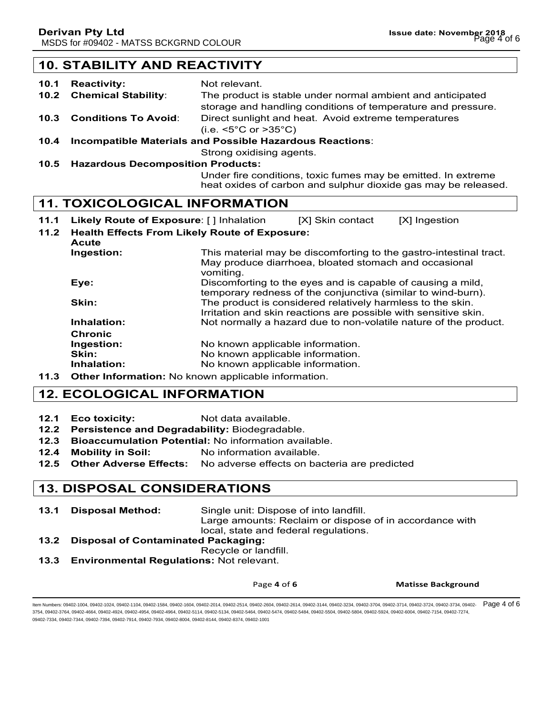### **10. STABILITY AND REACTIVITY**

- **10.1 Reactivity:** Not relevant. **10.2 Chemical Stability**: The product is stable under normal ambient and anticipated storage and handling conditions of temperature and pressure. **10.3 Conditions To Avoid**: Direct sunlight and heat. Avoid extreme temperatures (i.e. <5°C or >35°C)
- **10.4 Incompatible Materials and Possible Hazardous Reactions**:

Strong oxidising agents.

**10.5 Hazardous Decomposition Products:**

Under fire conditions, toxic fumes may be emitted. In extreme heat oxides of carbon and sulphur dioxide gas may be released.

### **11. TOXICOLOGICAL INFORMATION**

- **11.1 Likely Route of Exposure**: [ ] Inhalation [X] Skin contact [X] Ingestion
- **11.2 Health Effects From Likely Route of Exposure:**
- **Acute Ingestion:** This material may be discomforting to the gastro-intestinal tract. May produce diarrhoea, bloated stomach and occasional vomiting. **Eye: Exercise 2.1** Discomforting to the eyes and is capable of causing a mild, temporary redness of the conjunctiva (similar to wind-burn). **Skin:** The product is considered relatively harmless to the skin. Irritation and skin reactions are possible with sensitive skin. **Inhalation:** Not normally a hazard due to non-volatile nature of the product. **Chronic Ingestion:** No known applicable information. **Skin:** No known applicable information. **Inhalation:** No known applicable information.
- **11.3 Other Information:** No known applicable information.

### **12. ECOLOGICAL INFORMATION**

- **12.1 Eco toxicity:** Not data available.
- **12.2 Persistence and Degradability:** Biodegradable.
- **12.3 Bioaccumulation Potential:** No information available.
- **12.4 Mobility in Soil:** No information available.
- **12.5 Other Adverse Effects:** No adverse effects on bacteria are predicted

### **13. DISPOSAL CONSIDERATIONS**

- **13.1 Disposal Method:** Single unit: Dispose of into landfill. Large amounts: Reclaim or dispose of in accordance with local, state and federal regulations.
- **13.2 Disposal of Contaminated Packaging:** Recycle or landfill.
- 
- **13.3 Environmental Regulations:** Not relevant.

Page 4 of 6 **Matisse Background**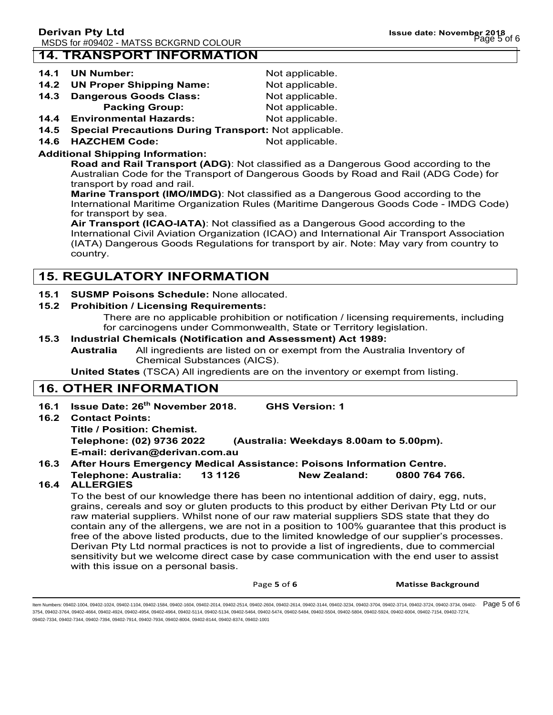### **14. TRANSPORT INFORMATION**

- **14.2 UN Proper Shipping Name:** Not applicable.
- 14.3 Dangerous Goods Class: Not applicable.
- **Packing Group:** Not applicable.
- **14.4 Environmental Hazards:** Not applicable.
- **14.5 Special Precautions During Transport:** Not applicable.
- **14.6 HAZCHEM Code:** Not applicable.

Not applicable.

### **Additional Shipping Information:**

**Road and Rail Transport (ADG)**: Not classified as a Dangerous Good according to the Australian Code for the Transport of Dangerous Goods by Road and Rail (ADG Code) for transport by road and rail.

**Marine Transport (IMO/IMDG)**: Not classified as a Dangerous Good according to the International Maritime Organization Rules (Maritime Dangerous Goods Code - IMDG Code) for transport by sea.

**Air Transport (ICAO-IATA)**: Not classified as a Dangerous Good according to the International Civil Aviation Organization (ICAO) and International Air Transport Association (IATA) Dangerous Goods Regulations for transport by air. Note: May vary from country to country.

### **15. REGULATORY INFORMATION**

### **15.1 SUSMP Poisons Schedule:** None allocated.

### **15.2 Prohibition / Licensing Requirements:**

There are no applicable prohibition or notification / licensing requirements, including for carcinogens under Commonwealth, State or Territory legislation.

### **15.3 Industrial Chemicals (Notification and Assessment) Act 1989:**

**Australia** All ingredients are listed on or exempt from the Australia Inventory of Chemical Substances (AICS).

**United States** (TSCA) All ingredients are on the inventory or exempt from listing.

### **16. OTHER INFORMATION**

**16.1 Issue Date: 26th November 2018. GHS Version: 1 16.2 Contact Points: Title / Position: Chemist. Telephone: (02) 9736 2022 (Australia: Weekdays 8.00am to 5.00pm).**

**E-mail: derivan@derivan.com.au**

### **16.3 After Hours Emergency Medical Assistance: Poisons Information Centre.**

### **Telephone: Australia: 13 1126 New Zealand: 0800 764 766.**

### **16.4 ALLERGIES**

To the best of our knowledge there has been no intentional addition of dairy, egg, nuts, grains, cereals and soy or gluten products to this product by either Derivan Pty Ltd or our raw material suppliers. Whilst none of our raw material suppliers SDS state that they do contain any of the allergens, we are not in a position to 100% guarantee that this product is free of the above listed products, due to the limited knowledge of our supplier's processes. Derivan Pty Ltd normal practices is not to provide a list of ingredients, due to commercial sensitivity but we welcome direct case by case communication with the end user to assist with this issue on a personal basis.

Page **5** of **6 Matisse Background**